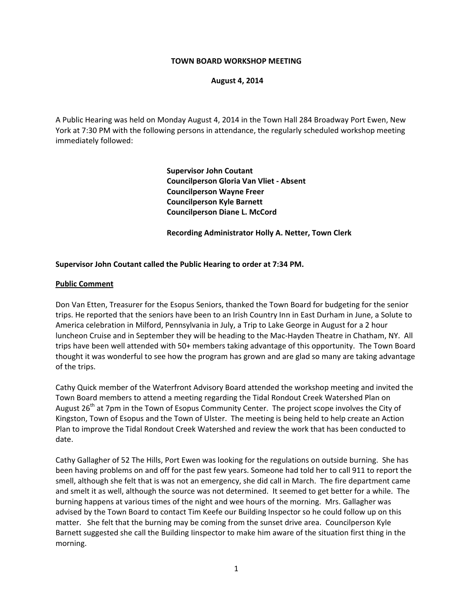#### **TOWN BOARD WORKSHOP MEETING**

#### **August 4, 2014**

A Public Hearing was held on Monday August 4, 2014 in the Town Hall 284 Broadway Port Ewen, New York at 7:30 PM with the following persons in attendance, the regularly scheduled workshop meeting immediately followed:

> **Supervisor John Coutant Councilperson Gloria Van Vliet ‐ Absent Councilperson Wayne Freer Councilperson Kyle Barnett Councilperson Diane L. McCord**

 **Recording Administrator Holly A. Netter, Town Clerk**

#### **Supervisor John Coutant called the Public Hearing to order at 7:34 PM.**

#### **Public Comment**

Don Van Etten, Treasurer for the Esopus Seniors, thanked the Town Board for budgeting for the senior trips. He reported that the seniors have been to an Irish Country Inn in East Durham in June, a Solute to America celebration in Milford, Pennsylvania in July, a Trip to Lake George in August for a 2 hour luncheon Cruise and in September they will be heading to the Mac‐Hayden Theatre in Chatham, NY. All trips have been well attended with 50+ members taking advantage of this opportunity. The Town Board thought it was wonderful to see how the program has grown and are glad so many are taking advantage of the trips.

Cathy Quick member of the Waterfront Advisory Board attended the workshop meeting and invited the Town Board members to attend a meeting regarding the Tidal Rondout Creek Watershed Plan on August 26<sup>th</sup> at 7pm in the Town of Esopus Community Center. The project scope involves the City of Kingston, Town of Esopus and the Town of Ulster. The meeting is being held to help create an Action Plan to improve the Tidal Rondout Creek Watershed and review the work that has been conducted to date.

Cathy Gallagher of 52 The Hills, Port Ewen was looking for the regulations on outside burning. She has been having problems on and off for the past few years. Someone had told her to call 911 to report the smell, although she felt that is was not an emergency, she did call in March. The fire department came and smelt it as well, although the source was not determined. It seemed to get better for a while. The burning happens at various times of the night and wee hours of the morning. Mrs. Gallagher was advised by the Town Board to contact Tim Keefe our Building Inspector so he could follow up on this matter. She felt that the burning may be coming from the sunset drive area. Councilperson Kyle Barnett suggested she call the Building Iinspector to make him aware of the situation first thing in the morning.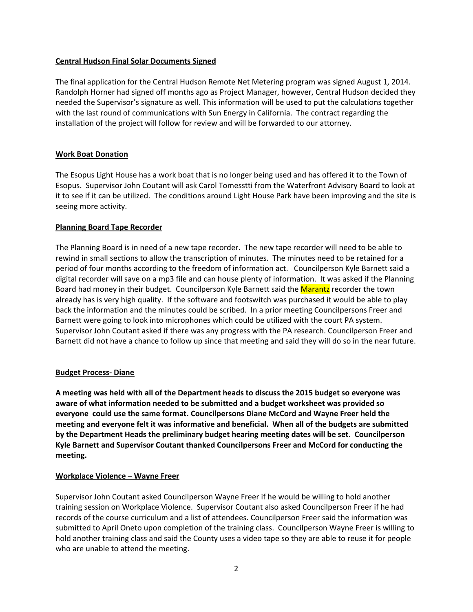# **Central Hudson Final Solar Documents Signed**

The final application for the Central Hudson Remote Net Metering program was signed August 1, 2014. Randolph Horner had signed off months ago as Project Manager, however, Central Hudson decided they needed the Supervisor's signature as well. This information will be used to put the calculations together with the last round of communications with Sun Energy in California. The contract regarding the installation of the project will follow for review and will be forwarded to our attorney.

# **Work Boat Donation**

The Esopus Light House has a work boat that is no longer being used and has offered it to the Town of Esopus. Supervisor John Coutant will ask Carol Tomesstti from the Waterfront Advisory Board to look at it to see if it can be utilized. The conditions around Light House Park have been improving and the site is seeing more activity.

# **Planning Board Tape Recorder**

The Planning Board is in need of a new tape recorder. The new tape recorder will need to be able to rewind in small sections to allow the transcription of minutes. The minutes need to be retained for a period of four months according to the freedom of information act. Councilperson Kyle Barnett said a digital recorder will save on a mp3 file and can house plenty of information. It was asked if the Planning Board had money in their budget. Councilperson Kyle Barnett said the Marantz recorder the town already has is very high quality. If the software and footswitch was purchased it would be able to play back the information and the minutes could be scribed. In a prior meeting Councilpersons Freer and Barnett were going to look into microphones which could be utilized with the court PA system. Supervisor John Coutant asked if there was any progress with the PA research. Councilperson Freer and Barnett did not have a chance to follow up since that meeting and said they will do so in the near future.

#### **Budget Process‐ Diane**

**A meeting was held with all of the Department heads to discuss the 2015 budget so everyone was aware of what information needed to be submitted and a budget worksheet was provided so everyone could use the same format. Councilpersons Diane McCord and Wayne Freer held the meeting and everyone felt it was informative and beneficial. When all of the budgets are submitted by the Department Heads the preliminary budget hearing meeting dates will be set. Councilperson Kyle Barnett and Supervisor Coutant thanked Councilpersons Freer and McCord for conducting the meeting.** 

# **Workplace Violence – Wayne Freer**

Supervisor John Coutant asked Councilperson Wayne Freer if he would be willing to hold another training session on Workplace Violence. Supervisor Coutant also asked Councilperson Freer if he had records of the course curriculum and a list of attendees. Councilperson Freer said the information was submitted to April Oneto upon completion of the training class. Councilperson Wayne Freer is willing to hold another training class and said the County uses a video tape so they are able to reuse it for people who are unable to attend the meeting.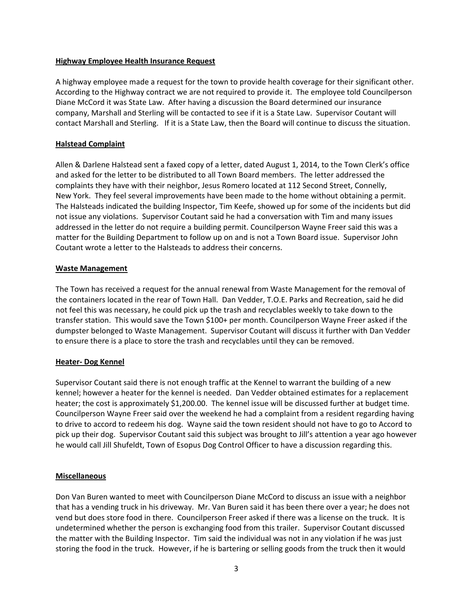### **Highway Employee Health Insurance Request**

A highway employee made a request for the town to provide health coverage for their significant other. According to the Highway contract we are not required to provide it. The employee told Councilperson Diane McCord it was State Law. After having a discussion the Board determined our insurance company, Marshall and Sterling will be contacted to see if it is a State Law. Supervisor Coutant will contact Marshall and Sterling. If it is a State Law, then the Board will continue to discuss the situation.

# **Halstead Complaint**

Allen & Darlene Halstead sent a faxed copy of a letter, dated August 1, 2014, to the Town Clerk's office and asked for the letter to be distributed to all Town Board members. The letter addressed the complaints they have with their neighbor, Jesus Romero located at 112 Second Street, Connelly, New York. They feel several improvements have been made to the home without obtaining a permit. The Halsteads indicated the building Inspector, Tim Keefe, showed up for some of the incidents but did not issue any violations. Supervisor Coutant said he had a conversation with Tim and many issues addressed in the letter do not require a building permit. Councilperson Wayne Freer said this was a matter for the Building Department to follow up on and is not a Town Board issue. Supervisor John Coutant wrote a letter to the Halsteads to address their concerns.

#### **Waste Management**

The Town has received a request for the annual renewal from Waste Management for the removal of the containers located in the rear of Town Hall. Dan Vedder, T.O.E. Parks and Recreation, said he did not feel this was necessary, he could pick up the trash and recyclables weekly to take down to the transfer station. This would save the Town \$100+ per month. Councilperson Wayne Freer asked if the dumpster belonged to Waste Management. Supervisor Coutant will discuss it further with Dan Vedder to ensure there is a place to store the trash and recyclables until they can be removed.

# **Heater‐ Dog Kennel**

Supervisor Coutant said there is not enough traffic at the Kennel to warrant the building of a new kennel; however a heater for the kennel is needed. Dan Vedder obtained estimates for a replacement heater; the cost is approximately \$1,200.00. The kennel issue will be discussed further at budget time. Councilperson Wayne Freer said over the weekend he had a complaint from a resident regarding having to drive to accord to redeem his dog. Wayne said the town resident should not have to go to Accord to pick up their dog. Supervisor Coutant said this subject was brought to Jill's attention a year ago however he would call Jill Shufeldt, Town of Esopus Dog Control Officer to have a discussion regarding this.

# **Miscellaneous**

Don Van Buren wanted to meet with Councilperson Diane McCord to discuss an issue with a neighbor that has a vending truck in his driveway. Mr. Van Buren said it has been there over a year; he does not vend but does store food in there. Councilperson Freer asked if there was a license on the truck. It is undetermined whether the person is exchanging food from this trailer. Supervisor Coutant discussed the matter with the Building Inspector. Tim said the individual was not in any violation if he was just storing the food in the truck. However, if he is bartering or selling goods from the truck then it would